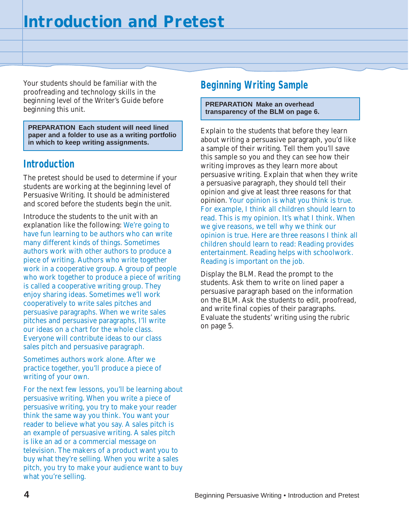Your students should be familiar with the proofreading and technology skills in the beginning level of the Writer's Guide before beginning this unit.

**PREPARATION Each student will need lined paper and a folder to use as a writing portfolio in which to keep writing assignments.**

### **Introduction**

The pretest should be used to determine if your students are working at the beginning level of Persuasive Writing. It should be administered and scored before the students begin the unit.

Introduce the students to the unit with an explanation like the following: We're going to have fun learning to be authors who can write many different kinds of things. Sometimes authors work with other authors to produce a piece of writing. Authors who write together work in a cooperative group. A group of people who work together to produce a piece of writing is called a cooperative writing group. They enjoy sharing ideas. Sometimes we'll work cooperatively to write sales pitches and persuasive paragraphs. When we write sales pitches and persuasive paragraphs, I'll write our ideas on a chart for the whole class. Everyone will contribute ideas to our class sales pitch and persuasive paragraph.

Sometimes authors work alone. After we practice together, you'll produce a piece of writing of your own.

For the next few lessons, you'll be learning about persuasive writing. When you write a piece of persuasive writing, you try to make your reader think the same way you think. You want your reader to believe what you say. A sales pitch is an example of persuasive writing. A sales pitch is like an ad or a commercial message on television. The makers of a product want you to buy what they're selling. When you write a sales pitch, you try to make your audience want to buy what you're selling.

## **Beginning Writing Sample**

#### **PREPARATION Make an overhead transparency of the BLM on page 6.**

Explain to the students that before they learn about writing a persuasive paragraph, you'd like a sample of their writing. Tell them you'll save this sample so you and they can see how their writing improves as they learn more about persuasive writing. Explain that when they write a persuasive paragraph, they should tell their opinion and give at least three reasons for that opinion. Your opinion is what you think is true. For example, I think all children should learn to read. This is my opinion. It's what I think. When we give reasons, we tell why we think our opinion is true. Here are three reasons I think all children should learn to read: Reading provides entertainment. Reading helps with schoolwork. Reading is important on the job.

Display the BLM. Read the prompt to the students. Ask them to write on lined paper a persuasive paragraph based on the information on the BLM. Ask the students to edit, proofread, and write final copies of their paragraphs. Evaluate the students' writing using the rubric on page 5.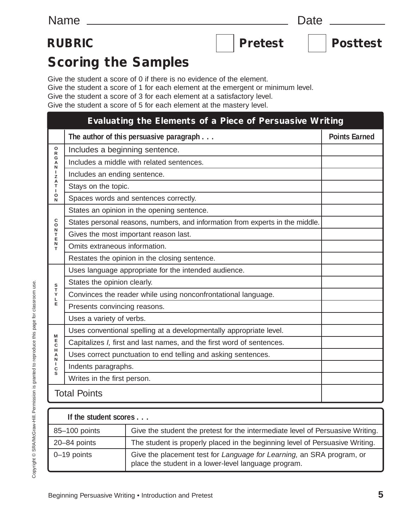## RUBRIC | Pretest | Posttest

# **Scoring the Samples**

Give the student a score of 0 if there is no evidence of the element.

Give the student a score of 1 for each element at the emergent or minimum level.

Give the student a score of 3 for each element at a satisfactory level.

Give the student a score of 5 for each element at the mastery level.

| Evaluating the Elements of a Piece of Persuasive Writing                        |                                                                               |                      |  |
|---------------------------------------------------------------------------------|-------------------------------------------------------------------------------|----------------------|--|
|                                                                                 | The author of this persuasive paragraph                                       | <b>Points Earned</b> |  |
| 0<br>$\mathsf{R}$<br>G<br>A<br>N<br>$\mathbf{I}$<br>Z<br>А<br>T<br>I.<br>O<br>N | Includes a beginning sentence.                                                |                      |  |
|                                                                                 | Includes a middle with related sentences.                                     |                      |  |
|                                                                                 | Includes an ending sentence.                                                  |                      |  |
|                                                                                 | Stays on the topic.                                                           |                      |  |
|                                                                                 | Spaces words and sentences correctly.                                         |                      |  |
| $\mathsf C$<br>$\ddot{o}$<br>N<br>T<br>E<br>N<br>T                              | States an opinion in the opening sentence.                                    |                      |  |
|                                                                                 | States personal reasons, numbers, and information from experts in the middle. |                      |  |
|                                                                                 | Gives the most important reason last.                                         |                      |  |
|                                                                                 | Omits extraneous information.                                                 |                      |  |
|                                                                                 | Restates the opinion in the closing sentence.                                 |                      |  |
| S<br>T<br>Υ<br>L                                                                | Uses language appropriate for the intended audience.                          |                      |  |
|                                                                                 | States the opinion clearly.                                                   |                      |  |
|                                                                                 | Convinces the reader while using nonconfrontational language.                 |                      |  |
| E                                                                               | Presents convincing reasons.                                                  |                      |  |
|                                                                                 | Uses a variety of verbs.                                                      |                      |  |
| M<br>E<br>$\mathsf C$<br>H<br>А<br>N<br>$\mathbf{I}$<br>$\mathtt{C}$<br>S       | Uses conventional spelling at a developmentally appropriate level.            |                      |  |
|                                                                                 | Capitalizes I, first and last names, and the first word of sentences.         |                      |  |
|                                                                                 | Uses correct punctuation to end telling and asking sentences.                 |                      |  |
|                                                                                 | Indents paragraphs.                                                           |                      |  |
|                                                                                 | Writes in the first person.                                                   |                      |  |
|                                                                                 | <b>Total Points</b>                                                           |                      |  |

| If the student scores |                                                                                                                               |  |  |  |
|-----------------------|-------------------------------------------------------------------------------------------------------------------------------|--|--|--|
| 85-100 points         | Give the student the pretest for the intermediate level of Persuasive Writing.                                                |  |  |  |
| 20-84 points          | The student is properly placed in the beginning level of Persuasive Writing.                                                  |  |  |  |
| 0-19 points           | Give the placement test for Language for Learning, an SRA program, or<br>place the student in a lower-level language program. |  |  |  |